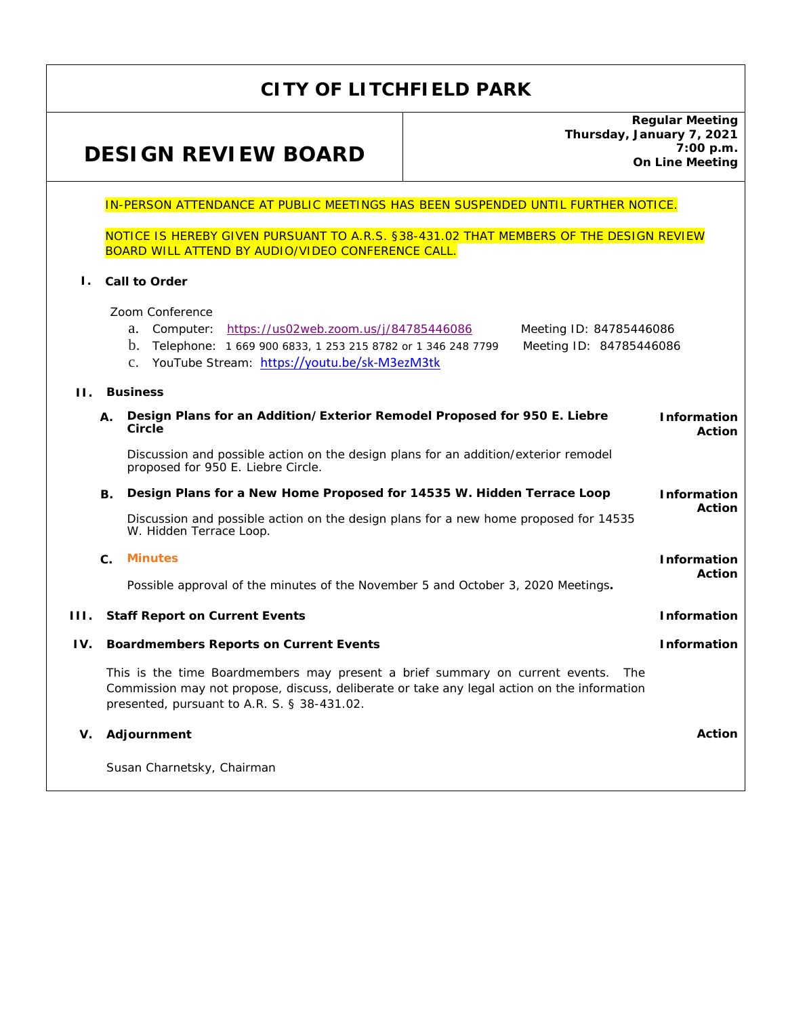## **CITY OF LITCHFIELD PARK**

# **DESIGN REVIEW BOARD**

**Regular Meeting Thursday, January 7, 2021 7:00 p.m. On Line Meeting** 

#### IN-PERSON ATTENDANCE AT PUBLIC MEETINGS HAS BEEN SUSPENDED UNTIL FURTHER NOTICE.

NOTICE IS HEREBY GIVEN PURSUANT TO A.R.S. §38-431.02 THAT MEMBERS OF THE DESIGN REVIEW BOARD WILL ATTEND BY AUDIO/VIDEO CONFERENCE CALL.

#### **I. Call to Order**

Zoom Conference

|     |                                                                                  | ZOOM CONTERENCE                                                                                                                                                                                                                     |                                     |  |
|-----|----------------------------------------------------------------------------------|-------------------------------------------------------------------------------------------------------------------------------------------------------------------------------------------------------------------------------------|-------------------------------------|--|
|     |                                                                                  | Computer: https://us02web.zoom.us/j/84785446086<br>Meeting ID: 84785446086<br>a.                                                                                                                                                    |                                     |  |
|     |                                                                                  | $\mathbf{b}$ .<br>Telephone: 1 669 900 6833, 1 253 215 8782 or 1 346 248 7799<br>Meeting ID: 84785446086                                                                                                                            |                                     |  |
|     |                                                                                  | YouTube Stream: https://youtu.be/sk-M3ezM3tk<br>$C_{\bullet}$                                                                                                                                                                       |                                     |  |
| H.  |                                                                                  | <b>Business</b>                                                                                                                                                                                                                     |                                     |  |
|     |                                                                                  |                                                                                                                                                                                                                                     |                                     |  |
|     | А.                                                                               | Design Plans for an Addition/Exterior Remodel Proposed for 950 E. Liebre<br>Circle                                                                                                                                                  | <b>Information</b><br><b>Action</b> |  |
|     |                                                                                  | Discussion and possible action on the design plans for an addition/exterior remodel<br>proposed for 950 E. Liebre Circle.                                                                                                           |                                     |  |
|     | В.                                                                               | Design Plans for a New Home Proposed for 14535 W. Hidden Terrace Loop                                                                                                                                                               |                                     |  |
|     |                                                                                  | Discussion and possible action on the design plans for a new home proposed for 14535<br>W. Hidden Terrace Loop.                                                                                                                     | <b>Action</b>                       |  |
|     | $\mathbf{C}$ .                                                                   | <b>Minutes</b>                                                                                                                                                                                                                      | <b>Information</b>                  |  |
|     | Possible approval of the minutes of the November 5 and October 3, 2020 Meetings. |                                                                                                                                                                                                                                     | <b>Action</b>                       |  |
| HL. |                                                                                  | <b>Staff Report on Current Events</b>                                                                                                                                                                                               | <b>Information</b>                  |  |
| IV. | <b>Information</b><br><b>Boardmembers Reports on Current Events</b>              |                                                                                                                                                                                                                                     |                                     |  |
|     |                                                                                  | This is the time Boardmembers may present a brief summary on current events.<br>- The<br>Commission may not propose, discuss, deliberate or take any legal action on the information<br>presented, pursuant to A.R. S. § 38-431.02. |                                     |  |
| V.  |                                                                                  | Adjournment                                                                                                                                                                                                                         | <b>Action</b>                       |  |
|     |                                                                                  | Susan Charnetsky, Chairman                                                                                                                                                                                                          |                                     |  |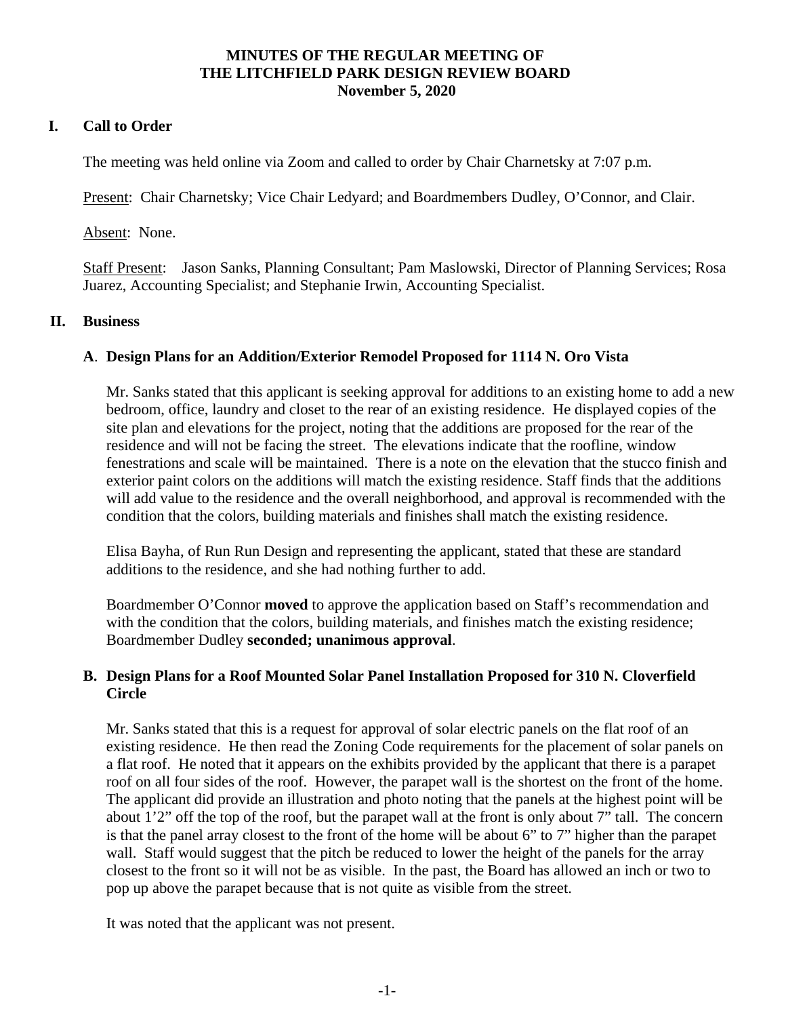## **MINUTES OF THE REGULAR MEETING OF THE LITCHFIELD PARK DESIGN REVIEW BOARD November 5, 2020**

## <span id="page-1-0"></span>**I. Call to Order**

The meeting was held online via Zoom and called to order by Chair Charnetsky at 7:07 p.m.

Present: Chair Charnetsky; Vice Chair Ledyard; and Boardmembers Dudley, O'Connor, and Clair.

Absent: None.

Staff Present: Jason Sanks, Planning Consultant; Pam Maslowski, Director of Planning Services; Rosa Juarez, Accounting Specialist; and Stephanie Irwin, Accounting Specialist.

## **II. Business**

## **A**. **Design Plans for an Addition/Exterior Remodel Proposed for 1114 N. Oro Vista**

Mr. Sanks stated that this applicant is seeking approval for additions to an existing home to add a new bedroom, office, laundry and closet to the rear of an existing residence. He displayed copies of the site plan and elevations for the project, noting that the additions are proposed for the rear of the residence and will not be facing the street. The elevations indicate that the roofline, window fenestrations and scale will be maintained. There is a note on the elevation that the stucco finish and exterior paint colors on the additions will match the existing residence. Staff finds that the additions will add value to the residence and the overall neighborhood, and approval is recommended with the condition that the colors, building materials and finishes shall match the existing residence.

Elisa Bayha, of Run Run Design and representing the applicant, stated that these are standard additions to the residence, and she had nothing further to add.

Boardmember O'Connor **moved** to approve the application based on Staff's recommendation and with the condition that the colors, building materials, and finishes match the existing residence; Boardmember Dudley **seconded; unanimous approval**.

## **B. Design Plans for a Roof Mounted Solar Panel Installation Proposed for 310 N. Cloverfield Circle**

Mr. Sanks stated that this is a request for approval of solar electric panels on the flat roof of an existing residence. He then read the Zoning Code requirements for the placement of solar panels on a flat roof. He noted that it appears on the exhibits provided by the applicant that there is a parapet roof on all four sides of the roof. However, the parapet wall is the shortest on the front of the home. The applicant did provide an illustration and photo noting that the panels at the highest point will be about 1'2" off the top of the roof, but the parapet wall at the front is only about 7" tall. The concern is that the panel array closest to the front of the home will be about 6" to 7" higher than the parapet wall. Staff would suggest that the pitch be reduced to lower the height of the panels for the array closest to the front so it will not be as visible. In the past, the Board has allowed an inch or two to pop up above the parapet because that is not quite as visible from the street.

It was noted that the applicant was not present.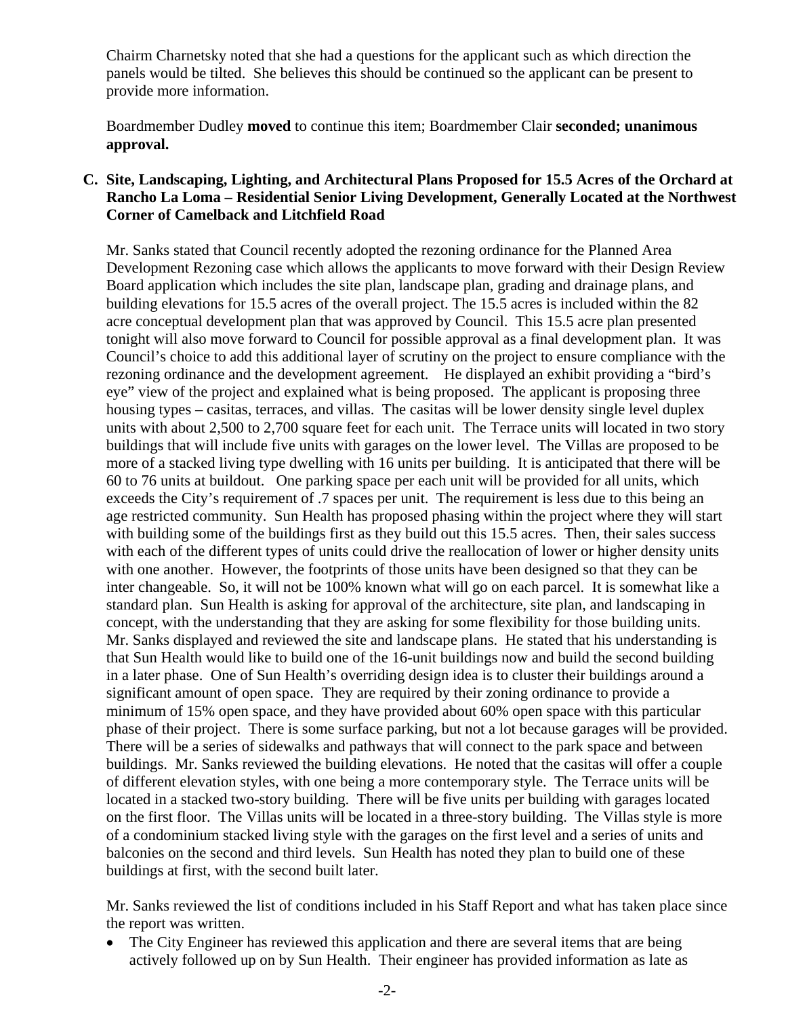Chairm Charnetsky noted that she had a questions for the applicant such as which direction the panels would be tilted. She believes this should be continued so the applicant can be present to provide more information.

Boardmember Dudley **moved** to continue this item; Boardmember Clair **seconded; unanimous approval.** 

## **C. Site, Landscaping, Lighting, and Architectural Plans Proposed for 15.5 Acres of the Orchard at Rancho La Loma – Residential Senior Living Development, Generally Located at the Northwest Corner of Camelback and Litchfield Road**

Mr. Sanks stated that Council recently adopted the rezoning ordinance for the Planned Area Development Rezoning case which allows the applicants to move forward with their Design Review Board application which includes the site plan, landscape plan, grading and drainage plans, and building elevations for 15.5 acres of the overall project. The 15.5 acres is included within the 82 acre conceptual development plan that was approved by Council. This 15.5 acre plan presented tonight will also move forward to Council for possible approval as a final development plan. It was Council's choice to add this additional layer of scrutiny on the project to ensure compliance with the rezoning ordinance and the development agreement. He displayed an exhibit providing a "bird's eye" view of the project and explained what is being proposed. The applicant is proposing three housing types – casitas, terraces, and villas. The casitas will be lower density single level duplex units with about 2,500 to 2,700 square feet for each unit. The Terrace units will located in two story buildings that will include five units with garages on the lower level. The Villas are proposed to be more of a stacked living type dwelling with 16 units per building. It is anticipated that there will be 60 to 76 units at buildout. One parking space per each unit will be provided for all units, which exceeds the City's requirement of .7 spaces per unit. The requirement is less due to this being an age restricted community. Sun Health has proposed phasing within the project where they will start with building some of the buildings first as they build out this 15.5 acres. Then, their sales success with each of the different types of units could drive the reallocation of lower or higher density units with one another. However, the footprints of those units have been designed so that they can be inter changeable. So, it will not be 100% known what will go on each parcel. It is somewhat like a standard plan. Sun Health is asking for approval of the architecture, site plan, and landscaping in concept, with the understanding that they are asking for some flexibility for those building units. Mr. Sanks displayed and reviewed the site and landscape plans. He stated that his understanding is that Sun Health would like to build one of the 16-unit buildings now and build the second building in a later phase. One of Sun Health's overriding design idea is to cluster their buildings around a significant amount of open space. They are required by their zoning ordinance to provide a minimum of 15% open space, and they have provided about 60% open space with this particular phase of their project. There is some surface parking, but not a lot because garages will be provided. There will be a series of sidewalks and pathways that will connect to the park space and between buildings. Mr. Sanks reviewed the building elevations. He noted that the casitas will offer a couple of different elevation styles, with one being a more contemporary style. The Terrace units will be located in a stacked two-story building. There will be five units per building with garages located on the first floor. The Villas units will be located in a three-story building. The Villas style is more of a condominium stacked living style with the garages on the first level and a series of units and balconies on the second and third levels. Sun Health has noted they plan to build one of these buildings at first, with the second built later.

Mr. Sanks reviewed the list of conditions included in his Staff Report and what has taken place since the report was written.

• The City Engineer has reviewed this application and there are several items that are being actively followed up on by Sun Health. Their engineer has provided information as late as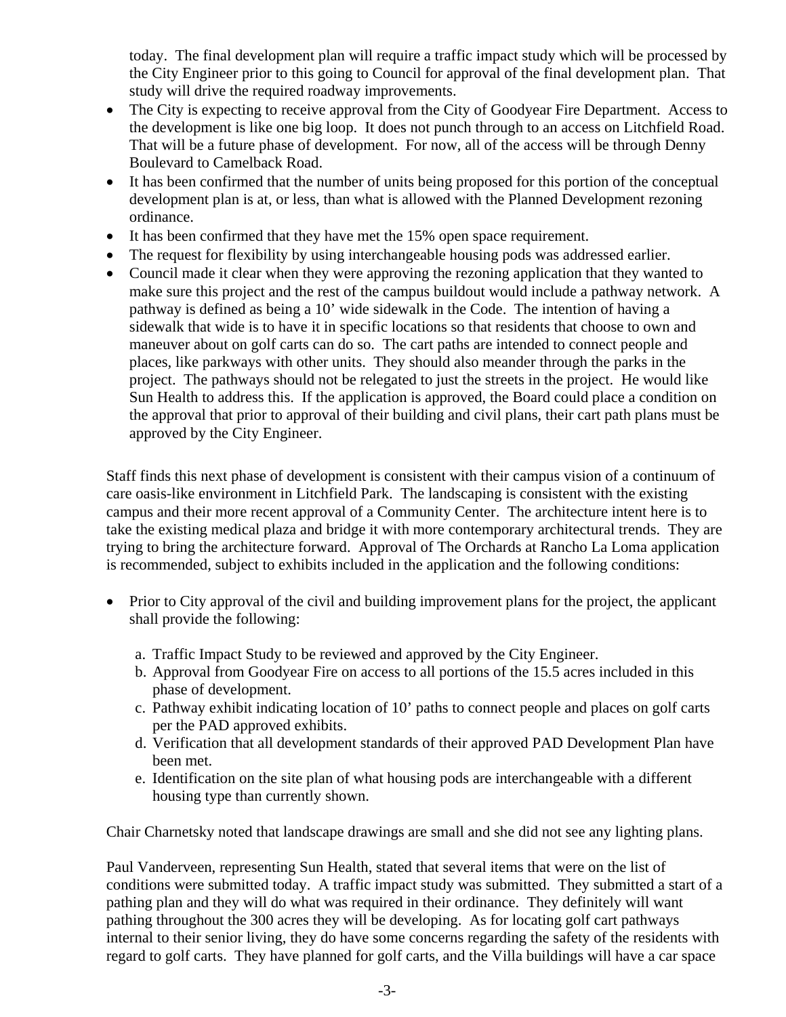today. The final development plan will require a traffic impact study which will be processed by the City Engineer prior to this going to Council for approval of the final development plan. That study will drive the required roadway improvements.

- The City is expecting to receive approval from the City of Goodyear Fire Department. Access to the development is like one big loop. It does not punch through to an access on Litchfield Road. That will be a future phase of development. For now, all of the access will be through Denny Boulevard to Camelback Road.
- It has been confirmed that the number of units being proposed for this portion of the conceptual development plan is at, or less, than what is allowed with the Planned Development rezoning ordinance.
- It has been confirmed that they have met the 15% open space requirement.
- The request for flexibility by using interchangeable housing pods was addressed earlier.
- Council made it clear when they were approving the rezoning application that they wanted to make sure this project and the rest of the campus buildout would include a pathway network. A pathway is defined as being a 10' wide sidewalk in the Code. The intention of having a sidewalk that wide is to have it in specific locations so that residents that choose to own and maneuver about on golf carts can do so. The cart paths are intended to connect people and places, like parkways with other units. They should also meander through the parks in the project. The pathways should not be relegated to just the streets in the project. He would like Sun Health to address this. If the application is approved, the Board could place a condition on the approval that prior to approval of their building and civil plans, their cart path plans must be approved by the City Engineer.

Staff finds this next phase of development is consistent with their campus vision of a continuum of care oasis-like environment in Litchfield Park. The landscaping is consistent with the existing campus and their more recent approval of a Community Center. The architecture intent here is to take the existing medical plaza and bridge it with more contemporary architectural trends. They are trying to bring the architecture forward. Approval of The Orchards at Rancho La Loma application is recommended, subject to exhibits included in the application and the following conditions:

- Prior to City approval of the civil and building improvement plans for the project, the applicant shall provide the following:
	- a. Traffic Impact Study to be reviewed and approved by the City Engineer.
	- b. Approval from Goodyear Fire on access to all portions of the 15.5 acres included in this phase of development.
	- c. Pathway exhibit indicating location of 10' paths to connect people and places on golf carts per the PAD approved exhibits.
	- d. Verification that all development standards of their approved PAD Development Plan have been met.
	- e. Identification on the site plan of what housing pods are interchangeable with a different housing type than currently shown.

Chair Charnetsky noted that landscape drawings are small and she did not see any lighting plans.

Paul Vanderveen, representing Sun Health, stated that several items that were on the list of conditions were submitted today. A traffic impact study was submitted. They submitted a start of a pathing plan and they will do what was required in their ordinance. They definitely will want pathing throughout the 300 acres they will be developing. As for locating golf cart pathways internal to their senior living, they do have some concerns regarding the safety of the residents with regard to golf carts. They have planned for golf carts, and the Villa buildings will have a car space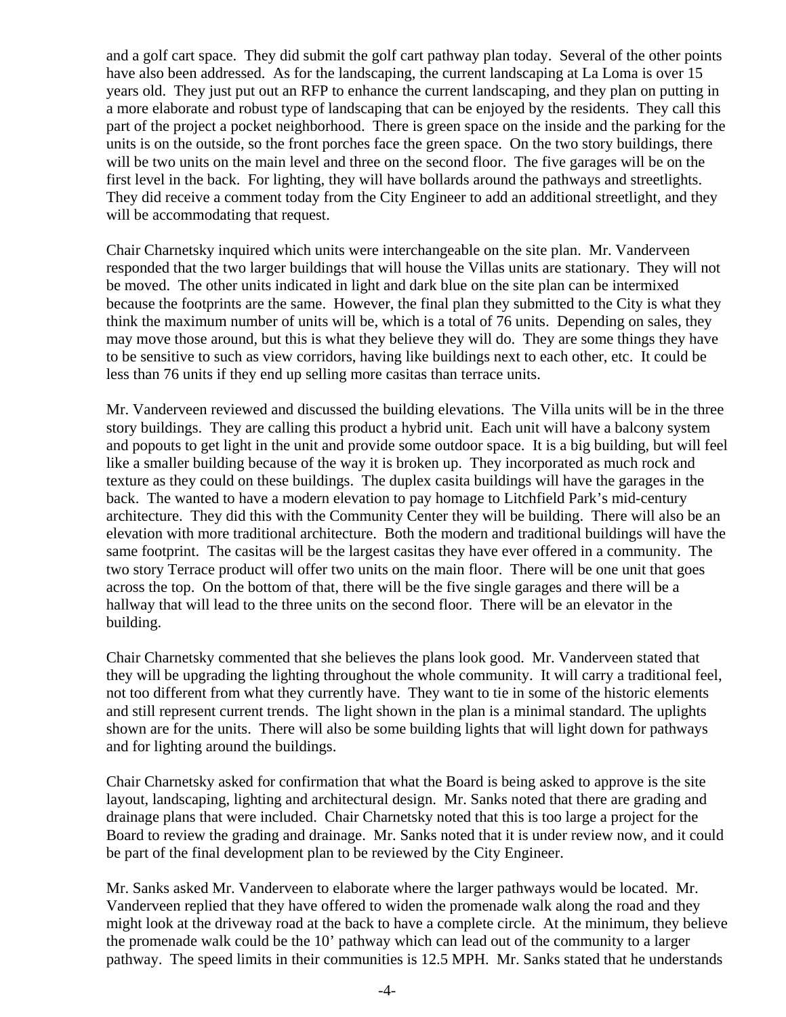and a golf cart space. They did submit the golf cart pathway plan today. Several of the other points have also been addressed. As for the landscaping, the current landscaping at La Loma is over 15 years old. They just put out an RFP to enhance the current landscaping, and they plan on putting in a more elaborate and robust type of landscaping that can be enjoyed by the residents. They call this part of the project a pocket neighborhood. There is green space on the inside and the parking for the units is on the outside, so the front porches face the green space. On the two story buildings, there will be two units on the main level and three on the second floor. The five garages will be on the first level in the back. For lighting, they will have bollards around the pathways and streetlights. They did receive a comment today from the City Engineer to add an additional streetlight, and they will be accommodating that request.

Chair Charnetsky inquired which units were interchangeable on the site plan. Mr. Vanderveen responded that the two larger buildings that will house the Villas units are stationary. They will not be moved. The other units indicated in light and dark blue on the site plan can be intermixed because the footprints are the same. However, the final plan they submitted to the City is what they think the maximum number of units will be, which is a total of 76 units. Depending on sales, they may move those around, but this is what they believe they will do. They are some things they have to be sensitive to such as view corridors, having like buildings next to each other, etc. It could be less than 76 units if they end up selling more casitas than terrace units.

Mr. Vanderveen reviewed and discussed the building elevations. The Villa units will be in the three story buildings. They are calling this product a hybrid unit. Each unit will have a balcony system and popouts to get light in the unit and provide some outdoor space. It is a big building, but will feel like a smaller building because of the way it is broken up. They incorporated as much rock and texture as they could on these buildings. The duplex casita buildings will have the garages in the back. The wanted to have a modern elevation to pay homage to Litchfield Park's mid-century architecture. They did this with the Community Center they will be building. There will also be an elevation with more traditional architecture. Both the modern and traditional buildings will have the same footprint. The casitas will be the largest casitas they have ever offered in a community. The two story Terrace product will offer two units on the main floor. There will be one unit that goes across the top. On the bottom of that, there will be the five single garages and there will be a hallway that will lead to the three units on the second floor. There will be an elevator in the building.

Chair Charnetsky commented that she believes the plans look good. Mr. Vanderveen stated that they will be upgrading the lighting throughout the whole community. It will carry a traditional feel, not too different from what they currently have. They want to tie in some of the historic elements and still represent current trends. The light shown in the plan is a minimal standard. The uplights shown are for the units. There will also be some building lights that will light down for pathways and for lighting around the buildings.

Chair Charnetsky asked for confirmation that what the Board is being asked to approve is the site layout, landscaping, lighting and architectural design. Mr. Sanks noted that there are grading and drainage plans that were included. Chair Charnetsky noted that this is too large a project for the Board to review the grading and drainage. Mr. Sanks noted that it is under review now, and it could be part of the final development plan to be reviewed by the City Engineer.

Mr. Sanks asked Mr. Vanderveen to elaborate where the larger pathways would be located. Mr. Vanderveen replied that they have offered to widen the promenade walk along the road and they might look at the driveway road at the back to have a complete circle. At the minimum, they believe the promenade walk could be the 10' pathway which can lead out of the community to a larger pathway. The speed limits in their communities is 12.5 MPH. Mr. Sanks stated that he understands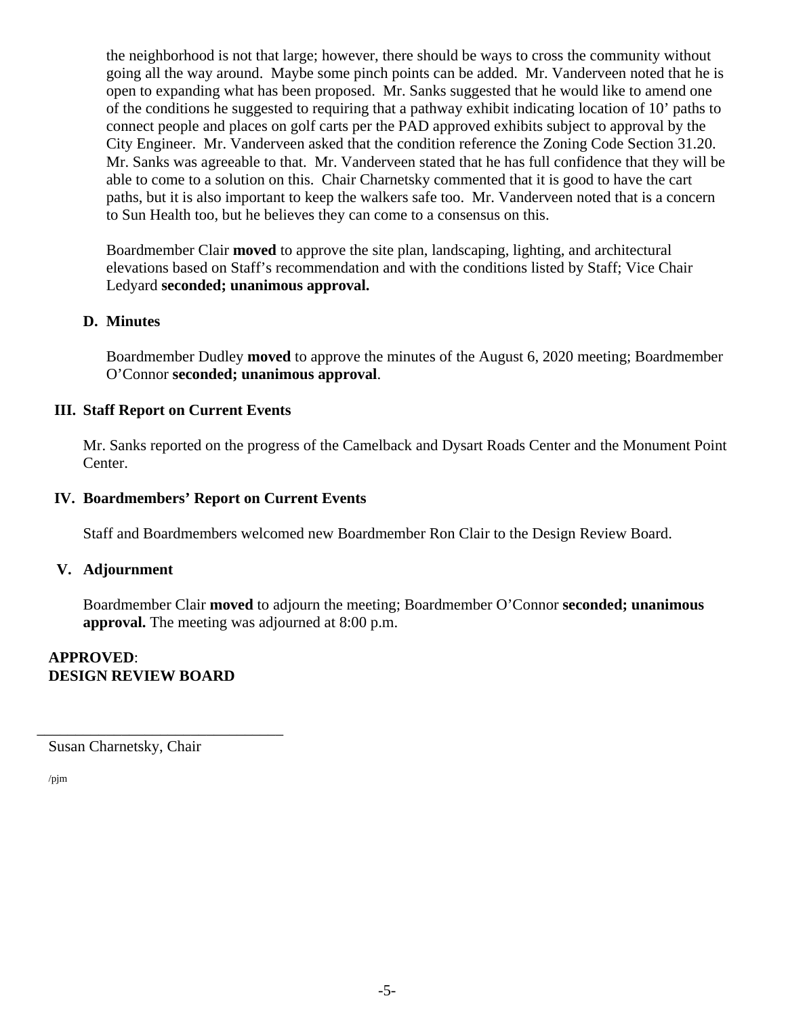the neighborhood is not that large; however, there should be ways to cross the community without going all the way around. Maybe some pinch points can be added. Mr. Vanderveen noted that he is open to expanding what has been proposed. Mr. Sanks suggested that he would like to amend one of the conditions he suggested to requiring that a pathway exhibit indicating location of 10' paths to connect people and places on golf carts per the PAD approved exhibits subject to approval by the City Engineer. Mr. Vanderveen asked that the condition reference the Zoning Code Section 31.20. Mr. Sanks was agreeable to that. Mr. Vanderveen stated that he has full confidence that they will be able to come to a solution on this. Chair Charnetsky commented that it is good to have the cart paths, but it is also important to keep the walkers safe too. Mr. Vanderveen noted that is a concern to Sun Health too, but he believes they can come to a consensus on this.

Boardmember Clair **moved** to approve the site plan, landscaping, lighting, and architectural elevations based on Staff's recommendation and with the conditions listed by Staff; Vice Chair Ledyard **seconded; unanimous approval.** 

## **D. Minutes**

Boardmember Dudley **moved** to approve the minutes of the August 6, 2020 meeting; Boardmember O'Connor **seconded; unanimous approval**.

## **III. Staff Report on Current Events**

Mr. Sanks reported on the progress of the Camelback and Dysart Roads Center and the Monument Point Center.

#### **IV. Boardmembers' Report on Current Events**

Staff and Boardmembers welcomed new Boardmember Ron Clair to the Design Review Board.

#### **V. Adjournment**

Boardmember Clair **moved** to adjourn the meeting; Boardmember O'Connor **seconded; unanimous approval.** The meeting was adjourned at 8:00 p.m.

## **APPROVED**: **DESIGN REVIEW BOARD**

\_\_\_\_\_\_\_\_\_\_\_\_\_\_\_\_\_\_\_\_\_\_\_\_\_\_\_\_\_\_\_\_

Susan Charnetsky, Chair

/pjm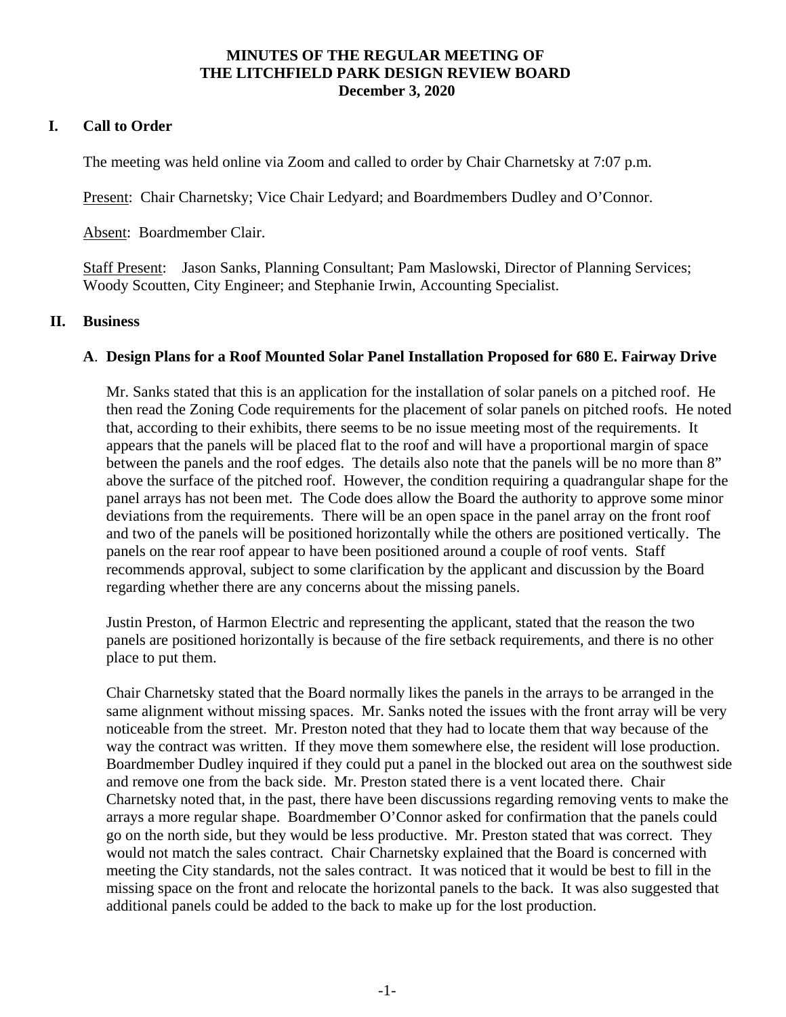### **MINUTES OF THE REGULAR MEETING OF THE LITCHFIELD PARK DESIGN REVIEW BOARD December 3, 2020**

## **I. Call to Order**

The meeting was held online via Zoom and called to order by Chair Charnetsky at 7:07 p.m.

Present: Chair Charnetsky; Vice Chair Ledyard; and Boardmembers Dudley and O'Connor.

Absent: Boardmember Clair.

Staff Present: Jason Sanks, Planning Consultant; Pam Maslowski, Director of Planning Services; Woody Scoutten, City Engineer; and Stephanie Irwin, Accounting Specialist.

#### **II. Business**

#### **A**. **Design Plans for a Roof Mounted Solar Panel Installation Proposed for 680 E. Fairway Drive**

Mr. Sanks stated that this is an application for the installation of solar panels on a pitched roof. He then read the Zoning Code requirements for the placement of solar panels on pitched roofs. He noted that, according to their exhibits, there seems to be no issue meeting most of the requirements. It appears that the panels will be placed flat to the roof and will have a proportional margin of space between the panels and the roof edges. The details also note that the panels will be no more than 8" above the surface of the pitched roof. However, the condition requiring a quadrangular shape for the panel arrays has not been met. The Code does allow the Board the authority to approve some minor deviations from the requirements. There will be an open space in the panel array on the front roof and two of the panels will be positioned horizontally while the others are positioned vertically. The panels on the rear roof appear to have been positioned around a couple of roof vents. Staff recommends approval, subject to some clarification by the applicant and discussion by the Board regarding whether there are any concerns about the missing panels.

Justin Preston, of Harmon Electric and representing the applicant, stated that the reason the two panels are positioned horizontally is because of the fire setback requirements, and there is no other place to put them.

Chair Charnetsky stated that the Board normally likes the panels in the arrays to be arranged in the same alignment without missing spaces. Mr. Sanks noted the issues with the front array will be very noticeable from the street. Mr. Preston noted that they had to locate them that way because of the way the contract was written. If they move them somewhere else, the resident will lose production. Boardmember Dudley inquired if they could put a panel in the blocked out area on the southwest side and remove one from the back side. Mr. Preston stated there is a vent located there. Chair Charnetsky noted that, in the past, there have been discussions regarding removing vents to make the arrays a more regular shape. Boardmember O'Connor asked for confirmation that the panels could go on the north side, but they would be less productive. Mr. Preston stated that was correct. They would not match the sales contract. Chair Charnetsky explained that the Board is concerned with meeting the City standards, not the sales contract. It was noticed that it would be best to fill in the missing space on the front and relocate the horizontal panels to the back. It was also suggested that additional panels could be added to the back to make up for the lost production.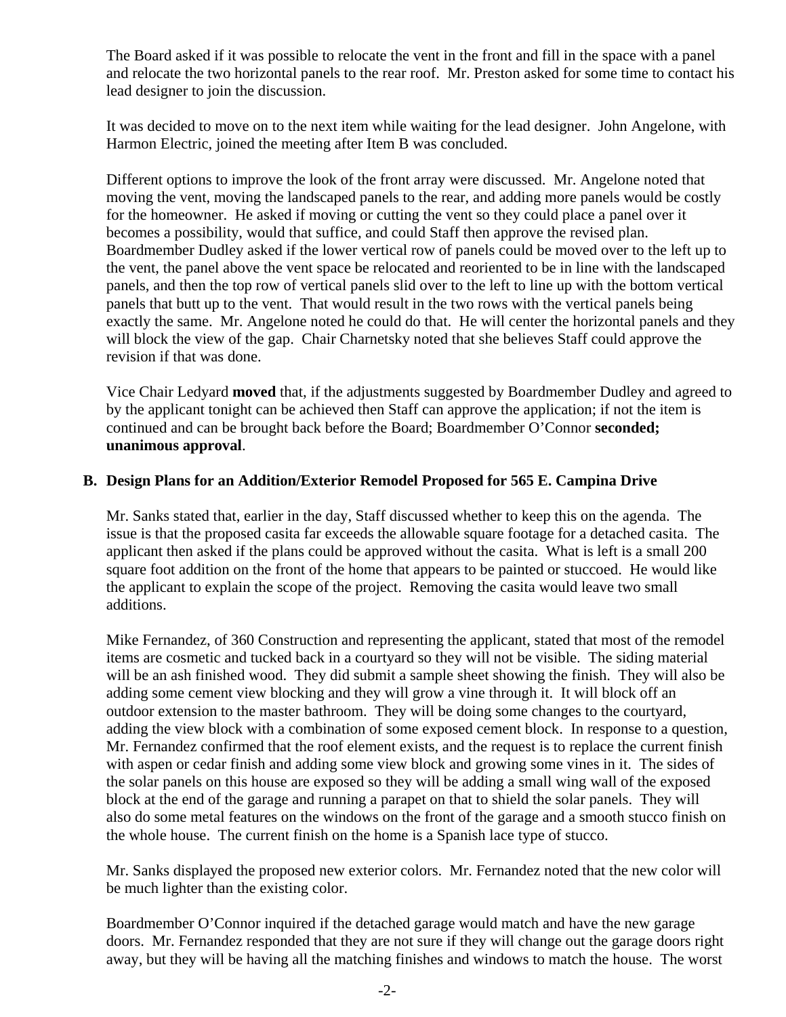The Board asked if it was possible to relocate the vent in the front and fill in the space with a panel and relocate the two horizontal panels to the rear roof. Mr. Preston asked for some time to contact his lead designer to join the discussion.

It was decided to move on to the next item while waiting for the lead designer. John Angelone, with Harmon Electric, joined the meeting after Item B was concluded.

Different options to improve the look of the front array were discussed. Mr. Angelone noted that moving the vent, moving the landscaped panels to the rear, and adding more panels would be costly for the homeowner. He asked if moving or cutting the vent so they could place a panel over it becomes a possibility, would that suffice, and could Staff then approve the revised plan. Boardmember Dudley asked if the lower vertical row of panels could be moved over to the left up to the vent, the panel above the vent space be relocated and reoriented to be in line with the landscaped panels, and then the top row of vertical panels slid over to the left to line up with the bottom vertical panels that butt up to the vent. That would result in the two rows with the vertical panels being exactly the same. Mr. Angelone noted he could do that. He will center the horizontal panels and they will block the view of the gap. Chair Charnetsky noted that she believes Staff could approve the revision if that was done.

Vice Chair Ledyard **moved** that, if the adjustments suggested by Boardmember Dudley and agreed to by the applicant tonight can be achieved then Staff can approve the application; if not the item is continued and can be brought back before the Board; Boardmember O'Connor **seconded; unanimous approval**.

## **B. Design Plans for an Addition/Exterior Remodel Proposed for 565 E. Campina Drive**

Mr. Sanks stated that, earlier in the day, Staff discussed whether to keep this on the agenda. The issue is that the proposed casita far exceeds the allowable square footage for a detached casita. The applicant then asked if the plans could be approved without the casita. What is left is a small 200 square foot addition on the front of the home that appears to be painted or stuccoed. He would like the applicant to explain the scope of the project. Removing the casita would leave two small additions.

Mike Fernandez, of 360 Construction and representing the applicant, stated that most of the remodel items are cosmetic and tucked back in a courtyard so they will not be visible. The siding material will be an ash finished wood. They did submit a sample sheet showing the finish. They will also be adding some cement view blocking and they will grow a vine through it. It will block off an outdoor extension to the master bathroom. They will be doing some changes to the courtyard, adding the view block with a combination of some exposed cement block. In response to a question, Mr. Fernandez confirmed that the roof element exists, and the request is to replace the current finish with aspen or cedar finish and adding some view block and growing some vines in it. The sides of the solar panels on this house are exposed so they will be adding a small wing wall of the exposed block at the end of the garage and running a parapet on that to shield the solar panels. They will also do some metal features on the windows on the front of the garage and a smooth stucco finish on the whole house. The current finish on the home is a Spanish lace type of stucco.

Mr. Sanks displayed the proposed new exterior colors. Mr. Fernandez noted that the new color will be much lighter than the existing color.

Boardmember O'Connor inquired if the detached garage would match and have the new garage doors. Mr. Fernandez responded that they are not sure if they will change out the garage doors right away, but they will be having all the matching finishes and windows to match the house. The worst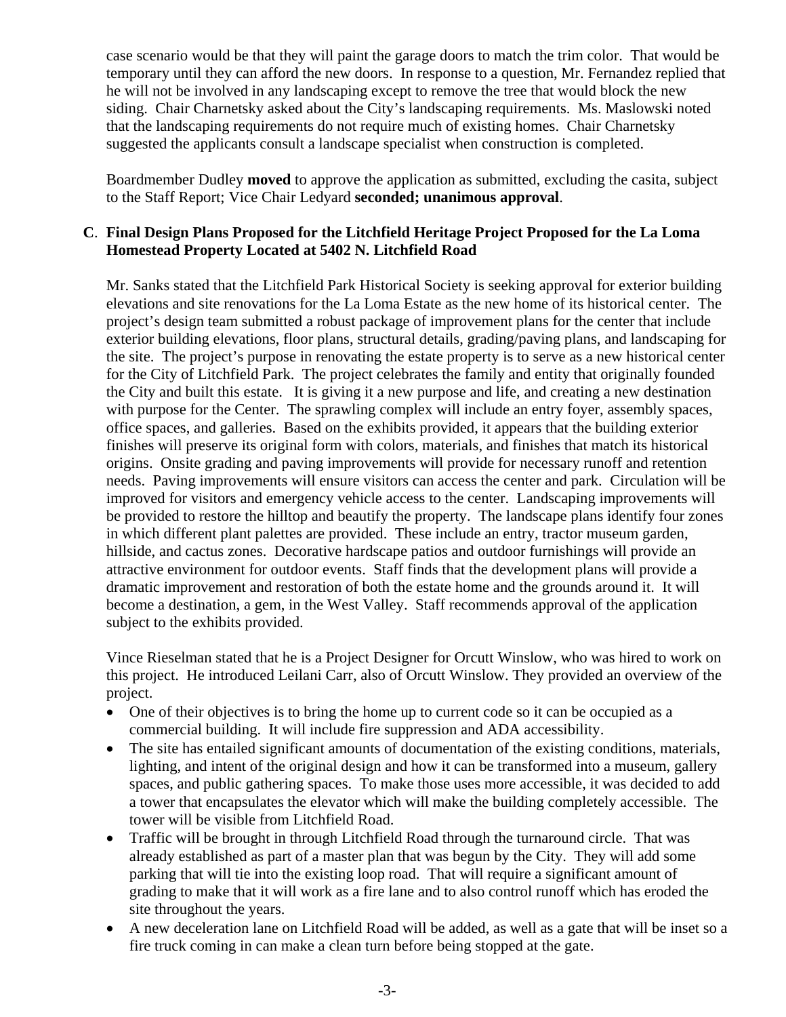case scenario would be that they will paint the garage doors to match the trim color. That would be temporary until they can afford the new doors. In response to a question, Mr. Fernandez replied that he will not be involved in any landscaping except to remove the tree that would block the new siding. Chair Charnetsky asked about the City's landscaping requirements. Ms. Maslowski noted that the landscaping requirements do not require much of existing homes. Chair Charnetsky suggested the applicants consult a landscape specialist when construction is completed.

Boardmember Dudley **moved** to approve the application as submitted, excluding the casita, subject to the Staff Report; Vice Chair Ledyard **seconded; unanimous approval**.

## **C**. **Final Design Plans Proposed for the Litchfield Heritage Project Proposed for the La Loma Homestead Property Located at 5402 N. Litchfield Road**

Mr. Sanks stated that the Litchfield Park Historical Society is seeking approval for exterior building elevations and site renovations for the La Loma Estate as the new home of its historical center. The project's design team submitted a robust package of improvement plans for the center that include exterior building elevations, floor plans, structural details, grading/paving plans, and landscaping for the site. The project's purpose in renovating the estate property is to serve as a new historical center for the City of Litchfield Park. The project celebrates the family and entity that originally founded the City and built this estate. It is giving it a new purpose and life, and creating a new destination with purpose for the Center. The sprawling complex will include an entry foyer, assembly spaces, office spaces, and galleries. Based on the exhibits provided, it appears that the building exterior finishes will preserve its original form with colors, materials, and finishes that match its historical origins. Onsite grading and paving improvements will provide for necessary runoff and retention needs. Paving improvements will ensure visitors can access the center and park. Circulation will be improved for visitors and emergency vehicle access to the center. Landscaping improvements will be provided to restore the hilltop and beautify the property. The landscape plans identify four zones in which different plant palettes are provided. These include an entry, tractor museum garden, hillside, and cactus zones. Decorative hardscape patios and outdoor furnishings will provide an attractive environment for outdoor events. Staff finds that the development plans will provide a dramatic improvement and restoration of both the estate home and the grounds around it. It will become a destination, a gem, in the West Valley. Staff recommends approval of the application subject to the exhibits provided.

Vince Rieselman stated that he is a Project Designer for Orcutt Winslow, who was hired to work on this project. He introduced Leilani Carr, also of Orcutt Winslow. They provided an overview of the project.

- One of their objectives is to bring the home up to current code so it can be occupied as a commercial building. It will include fire suppression and ADA accessibility.
- The site has entailed significant amounts of documentation of the existing conditions, materials, lighting, and intent of the original design and how it can be transformed into a museum, gallery spaces, and public gathering spaces. To make those uses more accessible, it was decided to add a tower that encapsulates the elevator which will make the building completely accessible. The tower will be visible from Litchfield Road.
- Traffic will be brought in through Litchfield Road through the turnaround circle. That was already established as part of a master plan that was begun by the City. They will add some parking that will tie into the existing loop road. That will require a significant amount of grading to make that it will work as a fire lane and to also control runoff which has eroded the site throughout the years.
- A new deceleration lane on Litchfield Road will be added, as well as a gate that will be inset so a fire truck coming in can make a clean turn before being stopped at the gate.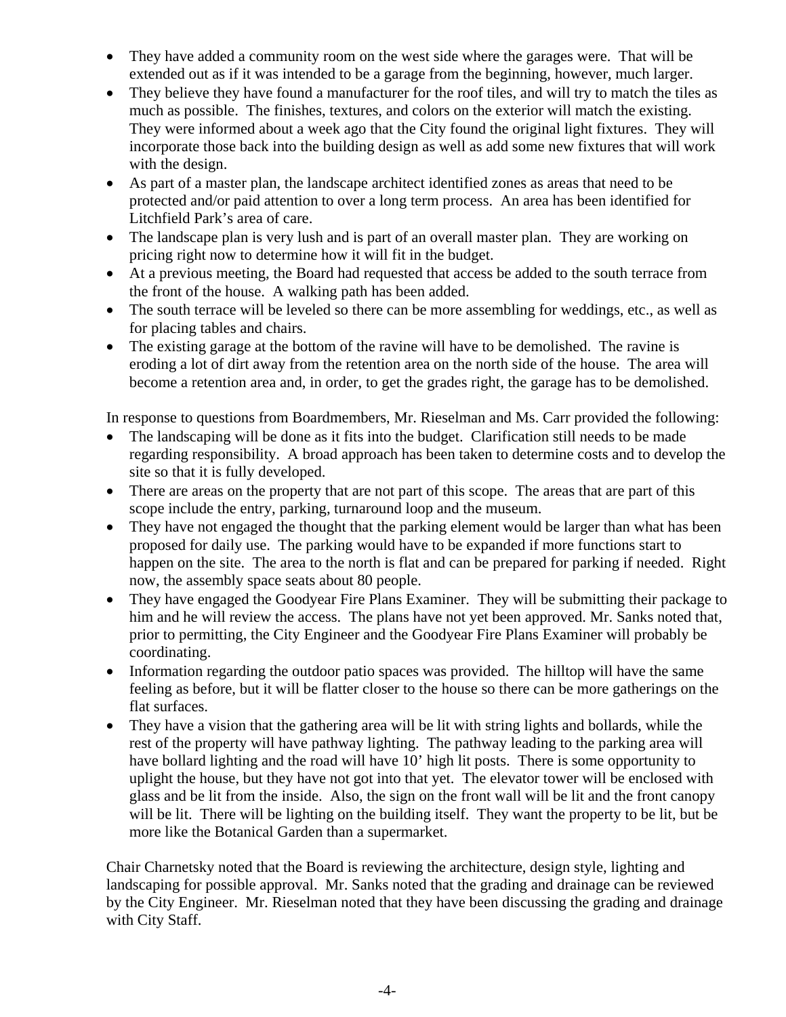- They have added a community room on the west side where the garages were. That will be extended out as if it was intended to be a garage from the beginning, however, much larger.
- They believe they have found a manufacturer for the roof tiles, and will try to match the tiles as much as possible. The finishes, textures, and colors on the exterior will match the existing. They were informed about a week ago that the City found the original light fixtures. They will incorporate those back into the building design as well as add some new fixtures that will work with the design.
- As part of a master plan, the landscape architect identified zones as areas that need to be protected and/or paid attention to over a long term process. An area has been identified for Litchfield Park's area of care.
- The landscape plan is very lush and is part of an overall master plan. They are working on pricing right now to determine how it will fit in the budget.
- At a previous meeting, the Board had requested that access be added to the south terrace from the front of the house. A walking path has been added.
- The south terrace will be leveled so there can be more assembling for weddings, etc., as well as for placing tables and chairs.
- The existing garage at the bottom of the ravine will have to be demolished. The ravine is eroding a lot of dirt away from the retention area on the north side of the house. The area will become a retention area and, in order, to get the grades right, the garage has to be demolished.

In response to questions from Boardmembers, Mr. Rieselman and Ms. Carr provided the following:

- The landscaping will be done as it fits into the budget. Clarification still needs to be made regarding responsibility. A broad approach has been taken to determine costs and to develop the site so that it is fully developed.
- There are areas on the property that are not part of this scope. The areas that are part of this scope include the entry, parking, turnaround loop and the museum.
- They have not engaged the thought that the parking element would be larger than what has been proposed for daily use. The parking would have to be expanded if more functions start to happen on the site. The area to the north is flat and can be prepared for parking if needed. Right now, the assembly space seats about 80 people.
- They have engaged the Goodyear Fire Plans Examiner. They will be submitting their package to him and he will review the access. The plans have not yet been approved. Mr. Sanks noted that, prior to permitting, the City Engineer and the Goodyear Fire Plans Examiner will probably be coordinating.
- Information regarding the outdoor patio spaces was provided. The hilltop will have the same feeling as before, but it will be flatter closer to the house so there can be more gatherings on the flat surfaces.
- They have a vision that the gathering area will be lit with string lights and bollards, while the rest of the property will have pathway lighting. The pathway leading to the parking area will have bollard lighting and the road will have 10' high lit posts. There is some opportunity to uplight the house, but they have not got into that yet. The elevator tower will be enclosed with glass and be lit from the inside. Also, the sign on the front wall will be lit and the front canopy will be lit. There will be lighting on the building itself. They want the property to be lit, but be more like the Botanical Garden than a supermarket.

Chair Charnetsky noted that the Board is reviewing the architecture, design style, lighting and landscaping for possible approval. Mr. Sanks noted that the grading and drainage can be reviewed by the City Engineer. Mr. Rieselman noted that they have been discussing the grading and drainage with City Staff.